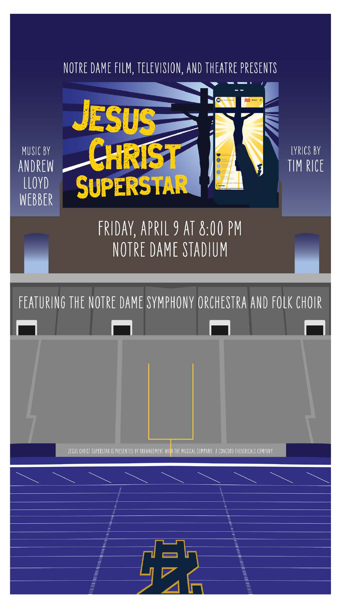



FRIDAY, APRIL 9 AT 8:00 PM

LYRICS BY TIM RICE

# NOTRE DAME STADIUM





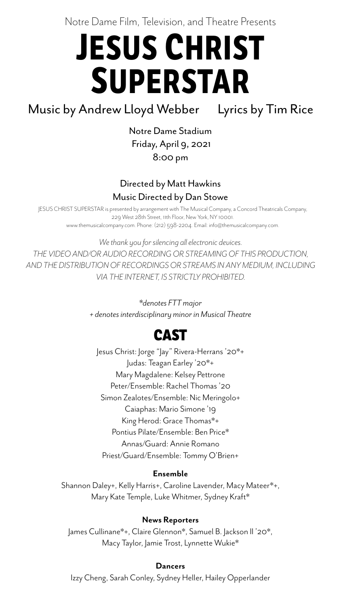# Notre Dame Film, Television, and Theatre Presents **JESUS CHRIST SUPERSTAR**

Music by Andrew Lloyd Webber Lyrics by Tim Rice

Notre Dame Stadium Friday, April 9, 2021 8:00 pm

### Directed by Matt Hawkins Music Directed by Dan Stowe

Jesus Christ: Jorge "Jay" Rivera-Herrans '20\*+ Judas: Teagan Earley '20\*+ Mary Magdalene: Kelsey Pettrone Peter/Ensemble: Rachel Thomas '20 Simon Zealotes/Ensemble: Nic Meringolo+ Caiaphas: Mario Simone '19 King Herod: Grace Thomas\*+ Pontius Pilate/Ensemble: Ben Price\* Annas/Guard: Annie Romano Priest/Guard/Ensemble: Tommy O'Brien+

*\*denotes FTT major*

*+ denotes interdisciplinary minor in Musical Theatre*

#### **Ensemble**

Shannon Daley+, Kelly Harris+, Caroline Lavender, Macy Mateer\*+, Mary Kate Temple, Luke Whitmer, Sydney Kraft\*

#### **News Reporters**

### James Cullinane\*+, Claire Glennon\*, Samuel B. Jackson II '20\*, Macy Taylor, Jamie Trost, Lynnette Wukie\*

#### **Dancers**

Izzy Cheng, Sarah Conley, Sydney Heller, Hailey Opperlander

### **CAST**

JESUS CHRIST SUPERSTAR is presented by arrangement with The Musical Company, a Concord Theatricals Company, 229 West 28th Street, 11th Floor, New York, NY 10001. www.themusicalcompany.com. Phone: (212) 598-2204. Email: info@themusicalcompany.com.

*We thank you for silencing all electronic devices.*

*THE VIDEO AND/OR AUDIO RECORDING OR STREAMING OF THIS PRODUCTION, AND THE DISTRIBUTION OF RECORDINGS OR STREAMS IN ANY MEDIUM, INCLUDING VIA THE INTERNET, IS STRICTLY PROHIBITED.*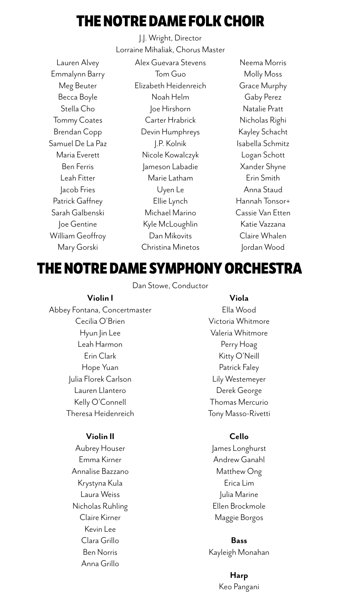J.J. Wright, Director Lorraine Mihaliak, Chorus Master

Dan Stowe, Conductor

Lauren Alvey Emmalynn Barry Meg Beuter Becca Boyle Stella Cho Tommy Coates Brendan Copp Samuel De La Paz Maria Everett Ben Ferris Leah Fitter Jacob Fries Patrick Gaffney Sarah Galbenski Joe Gentine William Geoffroy Mary Gorski

Alex Guevara Stevens Tom Guo Elizabeth Heidenreich Noah Helm Joe Hirshorn Carter Hrabrick Devin Humphreys J.P. Kolnik Nicole Kowalczyk Jameson Labadie Marie Latham Uyen Le Ellie Lynch Michael Marino Kyle McLoughlin Dan Mikovits Christina Minetos

Neema Morris Molly Moss Grace Murphy Gaby Perez Natalie Pratt Nicholas Righi Kayley Schacht Isabella Schmitz Logan Schott Xander Shyne Erin Smith Anna Staud Hannah Tonsor+ Cassie Van Etten Katie Vazzana Claire Whalen Jordan Wood



#### **Violin I**

Abbey Fontana, Concertmaster Cecilia O'Brien Hyun Jin Lee Leah Harmon Erin Clark Hope Yuan Julia Florek Carlson Lauren Llantero Kelly O'Connell Theresa Heidenreich

#### **Violin II**

Aubrey Houser Emma Kirner Annalise Bazzano Krystyna Kula Laura Weiss

Nicholas Ruhling Claire Kirner Kevin Lee Clara Grillo Ben Norris Anna Grillo

#### **Viola**

Ella Wood Victoria Whitmore Valeria Whitmore Perry Hoag Kitty O'Neill Patrick Faley Lily Westemeyer Derek George Thomas Mercurio Tony Masso-Rivetti

### **Cello**

James Longhurst Andrew Ganahl Matthew Ong Erica Lim

Julia Marine

Ellen Brockmole

Maggie Borgos

### **Bass**  Kayleigh Monahan

**Harp** Keo Pangani

# **THE NOTRE DAME FOLK CHOIR**

### **THE NOTRE DAME SYMPHONY ORCHESTRA**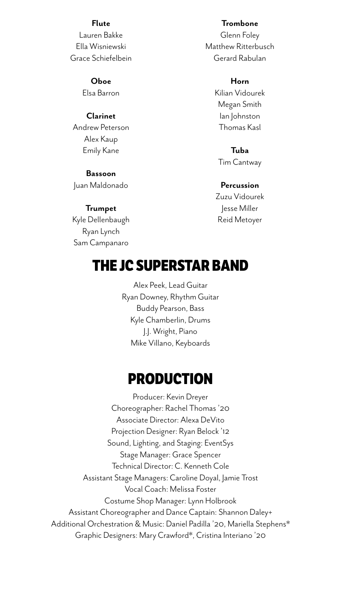#### **Flute**

Lauren Bakke Ella Wisniewski Grace Schiefelbein

#### **Oboe**

Elsa Barron

#### **Clarinet**

Andrew Peterson Alex Kaup Emily Kane

#### **Bassoon**

Juan Maldonado

#### **Trumpet**

Kyle Dellenbaugh Ryan Lynch Sam Campanaro

#### **Trombone**

Glenn Foley Matthew Ritterbusch Gerard Rabulan

#### **Horn**

Kilian Vidourek Megan Smith Ian Johnston Thomas Kasl

**Tuba** Tim Cantway

#### **Percussion**

Zuzu Vidourek Jesse Miller Reid Metoyer

Alex Peek, Lead Guitar Ryan Downey, Rhythm Guitar Buddy Pearson, Bass Kyle Chamberlin, Drums J.J. Wright, Piano Mike Villano, Keyboards

Producer: Kevin Dreyer Choreographer: Rachel Thomas '20 Associate Director: Alexa DeVito Projection Designer: Ryan Belock '12 Sound, Lighting, and Staging: EventSys Stage Manager: Grace Spencer Technical Director: C. Kenneth Cole Assistant Stage Managers: Caroline Doyal, Jamie Trost Vocal Coach: Melissa Foster

### Costume Shop Manager: Lynn Holbrook Assistant Choreographer and Dance Captain: Shannon Daley+ Additional Orchestration & Music: Daniel Padilla '20, Mariella Stephens\* Graphic Designers: Mary Crawford\*, Cristina Interiano '20

## **THE JC SUPERSTAR BAND**

# **PRODUCTION**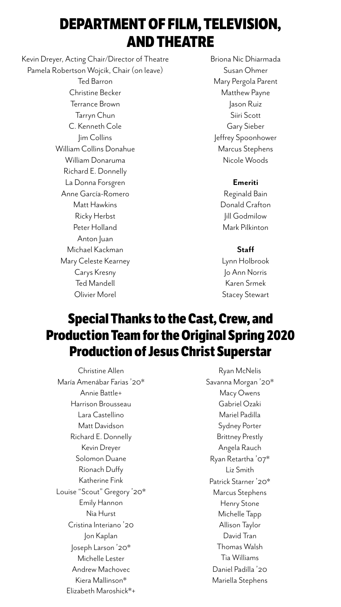Christine Allen María Amenábar Farias '20\* Annie Battle+ Harrison Brousseau Lara Castellino Matt Davidson Richard E. Donnelly Kevin Dreyer Solomon Duane Ríonach Duffy Katherine Fink Louise "Scout" Gregory '20\* Emily Hannon Nia Hurst Cristina Interiano ' 20 Jon Kaplan Joseph Larson '20\* Michelle Lester Andrew Machovec Kiera Mallinson\* Elizabeth Maroshick\*+

Ryan McNelis Savanna Morgan '20\* Macy Owens Gabriel Ozaki Mariel Padilla Sydney Porter Brittney Prestly Angela Rauch Ryan Retartha '07\* Liz Smith Patrick Starner '20\* Marcus Stephens Henry Stone Michelle Tapp Allison Taylor David Tran Thomas Walsh Tia Williams Daniel Padilla ' 20 Mariella Stephens

Kevin Dreyer, Acting Chair/Director of Theatre Pamela Robertson Wojcik, Chair (on leave) Ted Barron Christine Becker Terrance Brown Tarryn Chun C. Kenneth Cole Jim Collins William Collins Donahue William Donaruma Richard E. Donnelly La Donna Forsgren Anne García-Romero Matt Hawkins Ricky Herbst Peter Holland Anton Juan

> Michael Kackman Mary Celeste Kearney Carys Kresny Ted Mandell Olivier Morel

Briona Nic Dhiarmada Susan Ohmer Mary Pergola Parent Matthew Payne Jason Ruiz Siiri Scott Gary Sieber Jeffrey Spoonhower Marcus Stephens Nicole Woods

#### **Emeriti**

Reginald Bain Donald Crafton Jill Godmilow Mark Pilkinton

#### **Staff**

Lynn Holbrook Jo Ann Norris Karen Srmek Stacey Stewart

# **DEPARTMENT OF FILM, TELEVISION, AND THEATRE**

### **Special Thanks to the Cast, Crew, and Production Team for the Original Spring 2020 Production of Jesus Christ Superstar**